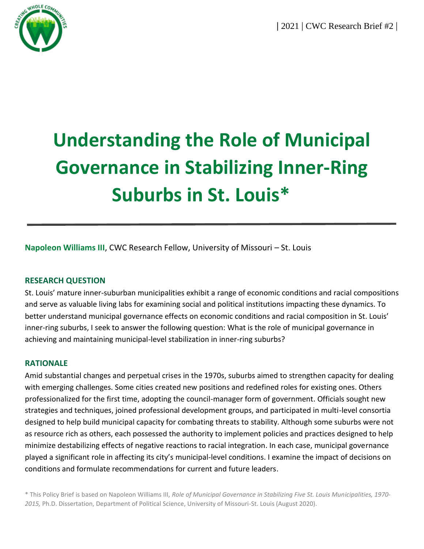**|** 2021 **|** CWC Research Brief #2 **|**



# **Understanding the Role of Municipal Governance in Stabilizing Inner-Ring Suburbs in St. Louis\***

**Napoleon Williams III**, CWC Research Fellow, University of Missouri – St. Louis

## **RESEARCH QUESTION**

St. Louis' mature inner-suburban municipalities exhibit a range of economic conditions and racial compositions and serve as valuable living labs for examining social and political institutions impacting these dynamics. To better understand municipal governance effects on economic conditions and racial composition in St. Louis' inner-ring suburbs, I seek to answer the following question: What is the role of municipal governance in achieving and maintaining municipal-level stabilization in inner-ring suburbs?

## **RATIONALE**

Amid substantial changes and perpetual crises in the 1970s, suburbs aimed to strengthen capacity for dealing with emerging challenges. Some cities created new positions and redefined roles for existing ones. Others professionalized for the first time, adopting the council-manager form of government. Officials sought new strategies and techniques, joined professional development groups, and participated in multi-level consortia designed to help build municipal capacity for combating threats to stability. Although some suburbs were not as resource rich as others, each possessed the authority to implement policies and practices designed to help minimize destabilizing effects of negative reactions to racial integration. In each case, municipal governance played a significant role in affecting its city's municipal-level conditions. I examine the impact of decisions on conditions and formulate recommendations for current and future leaders.

\* This Policy Brief is based on Napoleon Williams III, *Role of Municipal Governance in Stabilizing Five St. Louis Municipalities, 1970- 2015,* Ph.D. Dissertation, Department of Political Science, University of Missouri-St. Louis (August 2020).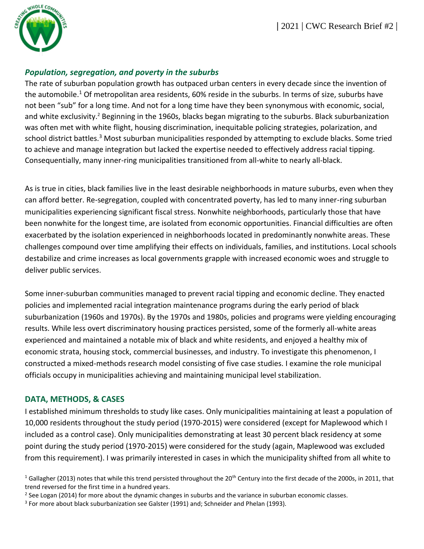

# *Population, segregation, and poverty in the suburbs*

The rate of suburban population growth has outpaced urban centers in every decade since the invention of the automobile.<sup>1</sup> Of metropolitan area residents, 60% reside in the suburbs. In terms of size, suburbs have not been "sub" for a long time. And not for a long time have they been synonymous with economic, social, and white exclusivity.<sup>2</sup> Beginning in the 1960s, blacks began migrating to the suburbs. Black suburbanization was often met with white flight, housing discrimination, inequitable policing strategies, polarization, and school district battles.<sup>3</sup> Most suburban municipalities responded by attempting to exclude blacks. Some tried to achieve and manage integration but lacked the expertise needed to effectively address racial tipping. Consequentially, many inner-ring municipalities transitioned from all-white to nearly all-black.

As is true in cities, black families live in the least desirable neighborhoods in mature suburbs, even when they can afford better. Re-segregation, coupled with concentrated poverty, has led to many inner-ring suburban municipalities experiencing significant fiscal stress. Nonwhite neighborhoods, particularly those that have been nonwhite for the longest time, are isolated from economic opportunities. Financial difficulties are often exacerbated by the isolation experienced in neighborhoods located in predominantly nonwhite areas. These challenges compound over time amplifying their effects on individuals, families, and institutions. Local schools destabilize and crime increases as local governments grapple with increased economic woes and struggle to deliver public services.

Some inner-suburban communities managed to prevent racial tipping and economic decline. They enacted policies and implemented racial integration maintenance programs during the early period of black suburbanization (1960s and 1970s). By the 1970s and 1980s, policies and programs were yielding encouraging results. While less overt discriminatory housing practices persisted, some of the formerly all-white areas experienced and maintained a notable mix of black and white residents, and enjoyed a healthy mix of economic strata, housing stock, commercial businesses, and industry. To investigate this phenomenon, I constructed a mixed-methods research model consisting of five case studies. I examine the role municipal officials occupy in municipalities achieving and maintaining municipal level stabilization.

# **DATA, METHODS, & CASES**

I established minimum thresholds to study like cases. Only municipalities maintaining at least a population of 10,000 residents throughout the study period (1970-2015) were considered (except for Maplewood which I included as a control case). Only municipalities demonstrating at least 30 percent black residency at some point during the study period (1970-2015) were considered for the study (again, Maplewood was excluded from this requirement). I was primarily interested in cases in which the municipality shifted from all white to

<sup>&</sup>lt;sup>1</sup> Gallagher (2013) notes that while this trend persisted throughout the 20<sup>th</sup> Century into the first decade of the 2000s, in 2011, that trend reversed for the first time in a hundred years.

<sup>&</sup>lt;sup>2</sup> See Logan (2014) for more about the dynamic changes in suburbs and the variance in suburban economic classes.

<sup>&</sup>lt;sup>3</sup> For more about black suburbanization see Galster (1991) and; Schneider and Phelan (1993).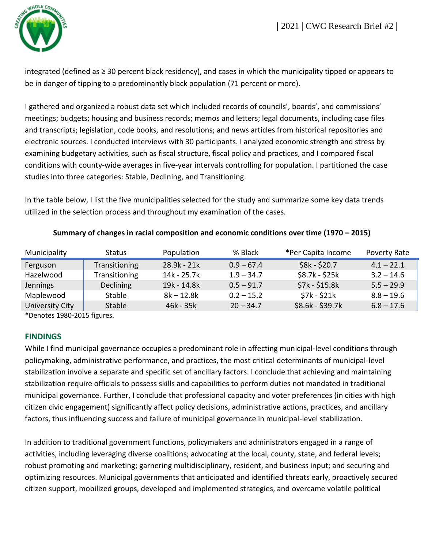

integrated (defined as ≥ 30 percent black residency), and cases in which the municipality tipped or appears to be in danger of tipping to a predominantly black population (71 percent or more).

I gathered and organized a robust data set which included records of councils', boards', and commissions' meetings; budgets; housing and business records; memos and letters; legal documents, including case files and transcripts; legislation, code books, and resolutions; and news articles from historical repositories and electronic sources. I conducted interviews with 30 participants. I analyzed economic strength and stress by examining budgetary activities, such as fiscal structure, fiscal policy and practices, and I compared fiscal conditions with county-wide averages in five-year intervals controlling for population. I partitioned the case studies into three categories: Stable, Declining, and Transitioning.

In the table below, I list the five municipalities selected for the study and summarize some key data trends utilized in the selection process and throughout my examination of the cases.

| Municipality    | <b>Status</b>        | Population    | % Black      | *Per Capita Income | Poverty Rate |
|-----------------|----------------------|---------------|--------------|--------------------|--------------|
| Ferguson        | <b>Transitioning</b> | $28.9k - 21k$ | $0.9 - 67.4$ | \$8k - \$20.7      | $4.1 - 22.1$ |
| Hazelwood       | <b>Transitioning</b> | 14k - 25.7k   | $1.9 - 34.7$ | \$8.7k - \$25k     | $3.2 - 14.6$ |
| Jennings        | <b>Declining</b>     | 19k - 14.8k   | $0.5 - 91.7$ | $$7k - $15.8k$     | $5.5 - 29.9$ |
| Maplewood       | <b>Stable</b>        | $8k - 12.8k$  | $0.2 - 15.2$ | $$7k - $21k$       | $8.8 - 19.6$ |
| University City | Stable               | $46k - 35k$   | $20 - 34.7$  | $$8.6k - $39.7k$   | $6.8 - 17.6$ |

#### **Summary of changes in racial composition and economic conditions over time (1970 – 2015)**

\*Denotes 1980-2015 figures.

## **FINDINGS**

While I find municipal governance occupies a predominant role in affecting municipal-level conditions through policymaking, administrative performance, and practices, the most critical determinants of municipal-level stabilization involve a separate and specific set of ancillary factors. I conclude that achieving and maintaining stabilization require officials to possess skills and capabilities to perform duties not mandated in traditional municipal governance. Further, I conclude that professional capacity and voter preferences (in cities with high citizen civic engagement) significantly affect policy decisions, administrative actions, practices, and ancillary factors, thus influencing success and failure of municipal governance in municipal-level stabilization.

In addition to traditional government functions, policymakers and administrators engaged in a range of activities, including leveraging diverse coalitions; advocating at the local, county, state, and federal levels; robust promoting and marketing; garnering multidisciplinary, resident, and business input; and securing and optimizing resources. Municipal governments that anticipated and identified threats early, proactively secured citizen support, mobilized groups, developed and implemented strategies, and overcame volatile political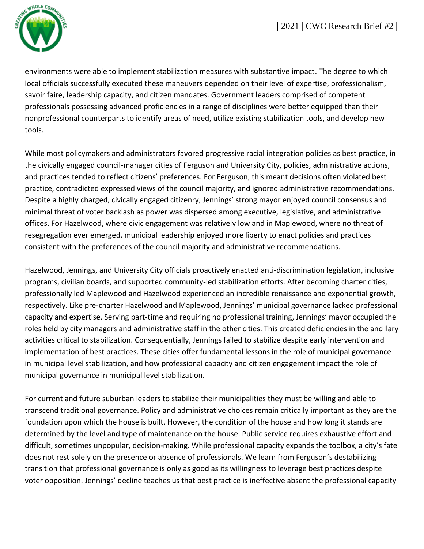

environments were able to implement stabilization measures with substantive impact. The degree to which local officials successfully executed these maneuvers depended on their level of expertise, professionalism, savoir faire, leadership capacity, and citizen mandates. Government leaders comprised of competent professionals possessing advanced proficiencies in a range of disciplines were better equipped than their nonprofessional counterparts to identify areas of need, utilize existing stabilization tools, and develop new tools.

While most policymakers and administrators favored progressive racial integration policies as best practice, in the civically engaged council-manager cities of Ferguson and University City, policies, administrative actions, and practices tended to reflect citizens' preferences. For Ferguson, this meant decisions often violated best practice, contradicted expressed views of the council majority, and ignored administrative recommendations. Despite a highly charged, civically engaged citizenry, Jennings' strong mayor enjoyed council consensus and minimal threat of voter backlash as power was dispersed among executive, legislative, and administrative offices. For Hazelwood, where civic engagement was relatively low and in Maplewood, where no threat of resegregation ever emerged, municipal leadership enjoyed more liberty to enact policies and practices consistent with the preferences of the council majority and administrative recommendations.

Hazelwood, Jennings, and University City officials proactively enacted anti-discrimination legislation, inclusive programs, civilian boards, and supported community-led stabilization efforts. After becoming charter cities, professionally led Maplewood and Hazelwood experienced an incredible renaissance and exponential growth, respectively. Like pre-charter Hazelwood and Maplewood, Jennings' municipal governance lacked professional capacity and expertise. Serving part-time and requiring no professional training, Jennings' mayor occupied the roles held by city managers and administrative staff in the other cities. This created deficiencies in the ancillary activities critical to stabilization. Consequentially, Jennings failed to stabilize despite early intervention and implementation of best practices. These cities offer fundamental lessons in the role of municipal governance in municipal level stabilization, and how professional capacity and citizen engagement impact the role of municipal governance in municipal level stabilization.

For current and future suburban leaders to stabilize their municipalities they must be willing and able to transcend traditional governance. Policy and administrative choices remain critically important as they are the foundation upon which the house is built. However, the condition of the house and how long it stands are determined by the level and type of maintenance on the house. Public service requires exhaustive effort and difficult, sometimes unpopular, decision-making. While professional capacity expands the toolbox, a city's fate does not rest solely on the presence or absence of professionals. We learn from Ferguson's destabilizing transition that professional governance is only as good as its willingness to leverage best practices despite voter opposition. Jennings' decline teaches us that best practice is ineffective absent the professional capacity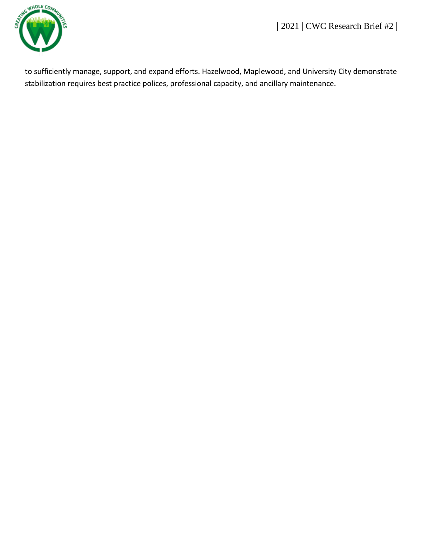**|** 2021 **|** CWC Research Brief #2 **|**



to sufficiently manage, support, and expand efforts. Hazelwood, Maplewood, and University City demonstrate stabilization requires best practice polices, professional capacity, and ancillary maintenance.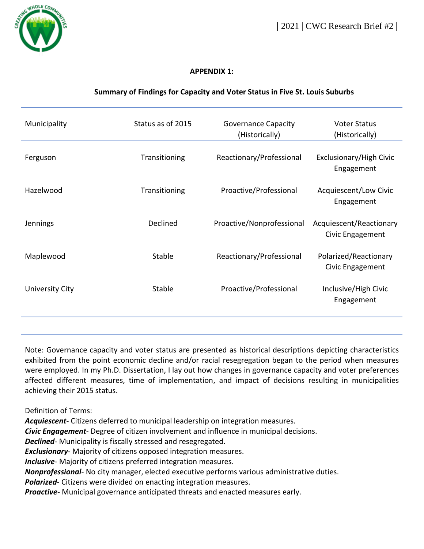

## **APPENDIX 1:**

# **Summary of Findings for Capacity and Voter Status in Five St. Louis Suburbs**

| Municipality    | Status as of 2015 | <b>Governance Capacity</b><br>(Historically) | <b>Voter Status</b><br>(Historically)       |
|-----------------|-------------------|----------------------------------------------|---------------------------------------------|
| Ferguson        | Transitioning     | Reactionary/Professional                     | Exclusionary/High Civic<br>Engagement       |
| Hazelwood       | Transitioning     | Proactive/Professional                       | Acquiescent/Low Civic<br>Engagement         |
| Jennings        | Declined          | Proactive/Nonprofessional                    | Acquiescent/Reactionary<br>Civic Engagement |
| Maplewood       | Stable            | Reactionary/Professional                     | Polarized/Reactionary<br>Civic Engagement   |
| University City | Stable            | Proactive/Professional                       | Inclusive/High Civic<br>Engagement          |
|                 |                   |                                              |                                             |

Note: Governance capacity and voter status are presented as historical descriptions depicting characteristics exhibited from the point economic decline and/or racial resegregation began to the period when measures were employed. In my Ph.D. Dissertation, I lay out how changes in governance capacity and voter preferences affected different measures, time of implementation, and impact of decisions resulting in municipalities achieving their 2015 status.

Definition of Terms:

*Acquiescent*- Citizens deferred to municipal leadership on integration measures.

*Civic Engagement*- Degree of citizen involvement and influence in municipal decisions.

*Declined*- Municipality is fiscally stressed and resegregated.

*Exclusionary*- Majority of citizens opposed integration measures.

*Inclusive*- Majority of citizens preferred integration measures.

*Nonprofessional*- No city manager, elected executive performs various administrative duties.

*Polarized*- Citizens were divided on enacting integration measures.

*Proactive*- Municipal governance anticipated threats and enacted measures early.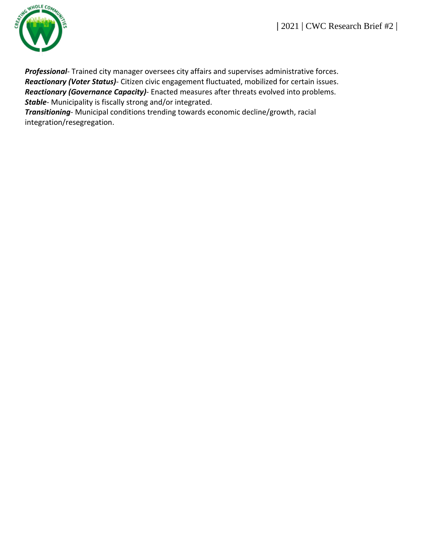

*Professional*- Trained city manager oversees city affairs and supervises administrative forces. *Reactionary (Voter Status)*- Citizen civic engagement fluctuated, mobilized for certain issues. *Reactionary (Governance Capacity)*- Enacted measures after threats evolved into problems. *Stable*- Municipality is fiscally strong and/or integrated.

*Transitioning*- Municipal conditions trending towards economic decline/growth, racial integration/resegregation.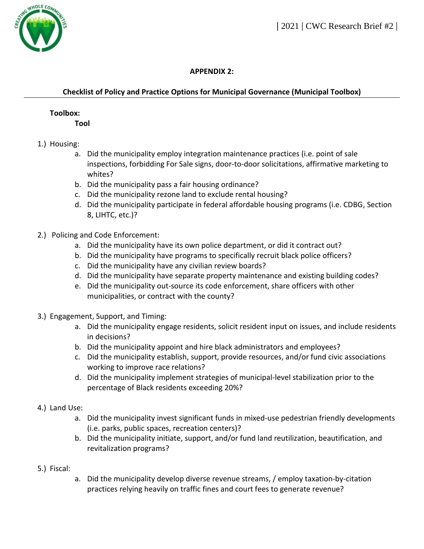

# **APPENDIX 2:**

# **Checklist of Policy and Practice Options for Municipal Governance (Municipal Toolbox)**

#### **Toolbox:**

**Tool**

- 1.) Housing:
	- a. Did the municipality employ integration maintenance practices (i.e. point of sale inspections, forbidding For Sale signs, door-to-door solicitations, affirmative marketing to whites?
	- b. Did the municipality pass a fair housing ordinance?
	- c. Did the municipality rezone land to exclude rental housing?
	- d. Did the municipality participate in federal affordable housing programs (i.e. CDBG, Section 8, LIHTC, etc.)?
- 2.) Policing and Code Enforcement:
	- a. Did the municipality have its own police department, or did it contract out?
	- b. Did the municipality have programs to specifically recruit black police officers?
	- c. Did the municipality have any civilian review boards?
	- d. Did the municipality have separate property maintenance and existing building codes?
	- e. Did the municipality out-source its code enforcement, share officers with other municipalities, or contract with the county?
- 3.) Engagement, Support, and Timing:
	- a. Did the municipality engage residents, solicit resident input on issues, and include residents in decisions?
	- b. Did the municipality appoint and hire black administrators and employees?
	- c. Did the municipality establish, support, provide resources, and/or fund civic associations working to improve race relations?
	- d. Did the municipality implement strategies of municipal-level stabilization prior to the percentage of Black residents exceeding 20%?
- 4.) Land Use:
	- a. Did the municipality invest significant funds in mixed-use pedestrian friendly developments (i.e. parks, public spaces, recreation centers)?
	- b. Did the municipality initiate, support, and/or fund land reutilization, beautification, and revitalization programs?
- 5.) Fiscal:
- a. Did the municipality develop diverse revenue streams, / employ taxation-by-citation practices relying heavily on traffic fines and court fees to generate revenue?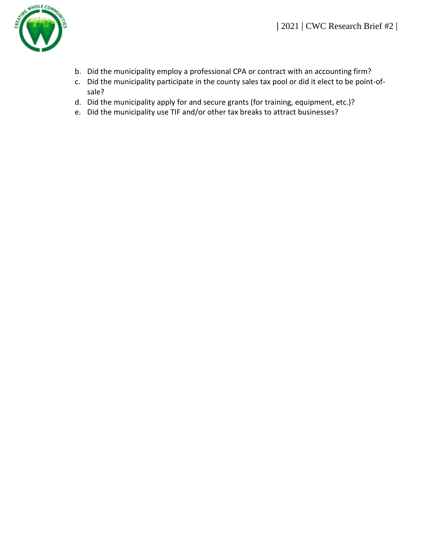

- b. Did the municipality employ a professional CPA or contract with an accounting firm?
- c. Did the municipality participate in the county sales tax pool or did it elect to be point-ofsale?
- d. Did the municipality apply for and secure grants (for training, equipment, etc.)?
- e. Did the municipality use TIF and/or other tax breaks to attract businesses?